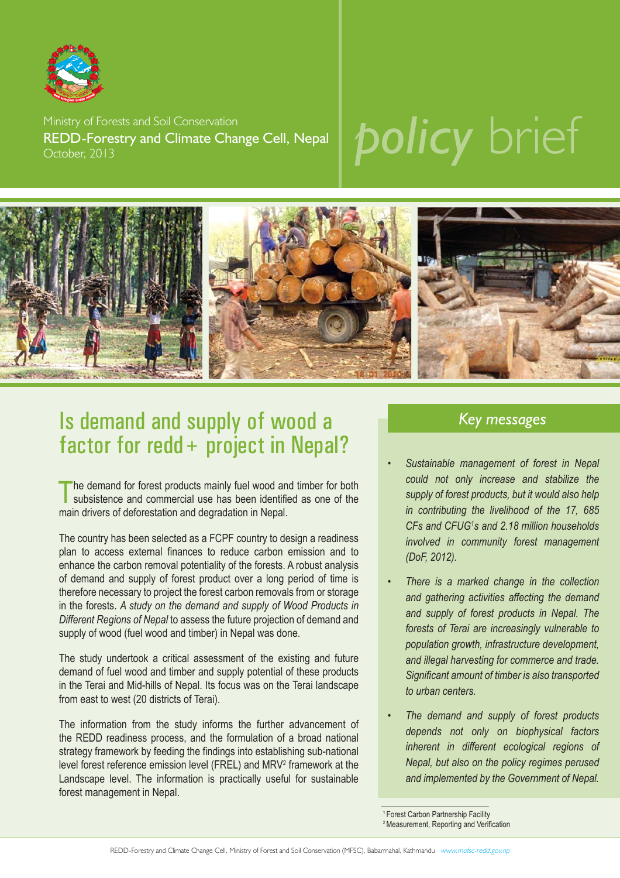

Ministry of Forests and Soil Conservation REDD-Forestry and Climate Change Cell, Nepal October, 2013

# *policy* brief



### Is demand and supply of wood a factor for redd+ project in Nepal?

The demand for forest products mainly fuel wood and timber for both subsistence and commercial use has been identified as one of the main drivers of deforestation and degradation in Nepal.

The country has been selected as a FCPF country to design a readiness plan to access external finances to reduce carbon emission and to enhance the carbon removal potentiality of the forests. A robust analysis of demand and supply of forest product over a long period of time is therefore necessary to project the forest carbon removals from or storage in the forests. *A study on the demand and supply of Wood Products in Different Regions of Nepal* to assess the future projection of demand and supply of wood (fuel wood and timber) in Nepal was done.

The study undertook a critical assessment of the existing and future demand of fuel wood and timber and supply potential of these products in the Terai and Mid-hills of Nepal. Its focus was on the Terai landscape from east to west (20 districts of Terai).

The information from the study informs the further advancement of the REDD readiness process, and the formulation of a broad national strategy framework by feeding the findings into establishing sub-national level forest reference emission level (FREL) and MRV2 framework at the Landscape level. The information is practically useful for sustainable forest management in Nepal.

### *Key messages*

- • *Sustainable management of forest in Nepal could not only increase and stabilize the supply of forest products, but it would also help in contributing the livelihood of the 17, 685 CFs and CFUG1 s and 2.18 million households involved in community forest management (DoF, 2012).*
- • *There is a marked change in the collection and gathering activities affecting the demand and supply of forest products in Nepal. The forests of Terai are increasingly vulnerable to population growth, infrastructure development, and illegal harvesting for commerce and trade. Signifi cant amount of timber is also transported to urban centers.*
- • *The demand and supply of forest products depends not only on biophysical factors inherent in different ecological regions of Nepal, but also on the policy regimes perused and implemented by the Government of Nepal.*

<sup>1</sup> Forest Carbon Partnership Facility

<sup>&</sup>lt;sup>2</sup> Measurement, Reporting and Verification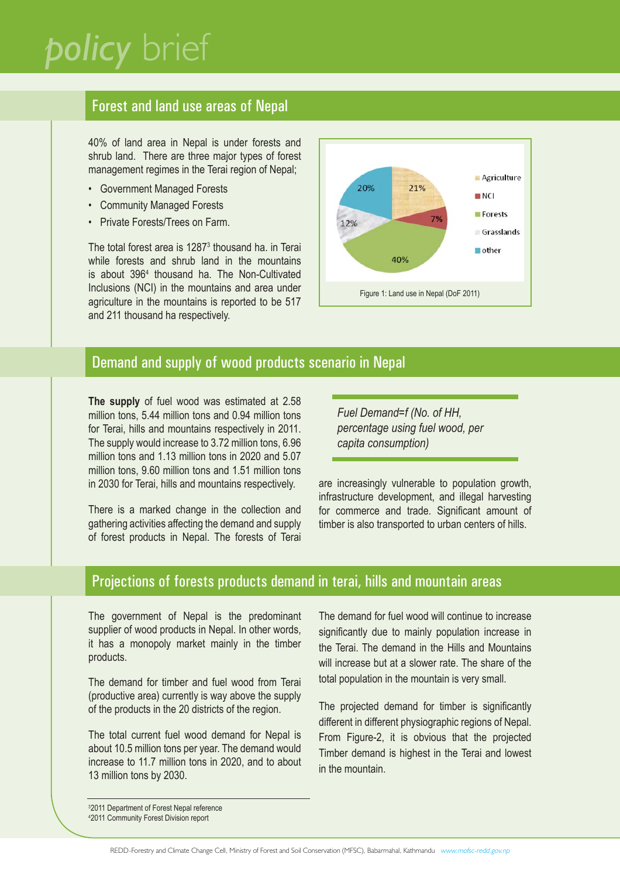### *policy* brief

### Forest and land use areas of Nepal

40% of land area in Nepal is under forests and shrub land. There are three major types of forest management regimes in the Terai region of Nepal;

- Government Managed Forests
- Community Managed Forests
- Private Forests/Trees on Farm.

The total forest area is 1287<sup>3</sup> thousand ha. in Terai while forests and shrub land in the mountains is about 3964 thousand ha. The Non-Cultivated Inclusions (NCI) in the mountains and area under agriculture in the mountains is reported to be 517 and 211 thousand ha respectively.



### Demand and supply of wood products scenario in Nepal

**The supply** of fuel wood was estimated at 2.58 million tons, 5.44 million tons and 0.94 million tons for Terai, hills and mountains respectively in 2011. The supply would increase to 3.72 million tons, 6.96 million tons and 1.13 million tons in 2020 and 5.07 million tons, 9.60 million tons and 1.51 million tons in 2030 for Terai, hills and mountains respectively.

There is a marked change in the collection and gathering activities affecting the demand and supply of forest products in Nepal. The forests of Terai

*Fuel Demand=f (No. of HH, percentage using fuel wood, per capita consumption)*

are increasingly vulnerable to population growth, infrastructure development, and illegal harvesting for commerce and trade. Significant amount of timber is also transported to urban centers of hills.

### Projections of forests products demand in terai, hills and mountain areas

The government of Nepal is the predominant supplier of wood products in Nepal. In other words, it has a monopoly market mainly in the timber products.

The demand for timber and fuel wood from Terai (productive area) currently is way above the supply of the products in the 20 districts of the region.

The total current fuel wood demand for Nepal is about 10.5 million tons per year. The demand would increase to 11.7 million tons in 2020, and to about 13 million tons by 2030.

The demand for fuel wood will continue to increase significantly due to mainly population increase in the Terai. The demand in the Hills and Mountains will increase but at a slower rate. The share of the total population in the mountain is very small.

The projected demand for timber is significantly different in different physiographic regions of Nepal. From Figure-2, it is obvious that the projected Timber demand is highest in the Terai and lowest in the mountain.

3 2011 Department of Forest Nepal reference 4 2011 Community Forest Division report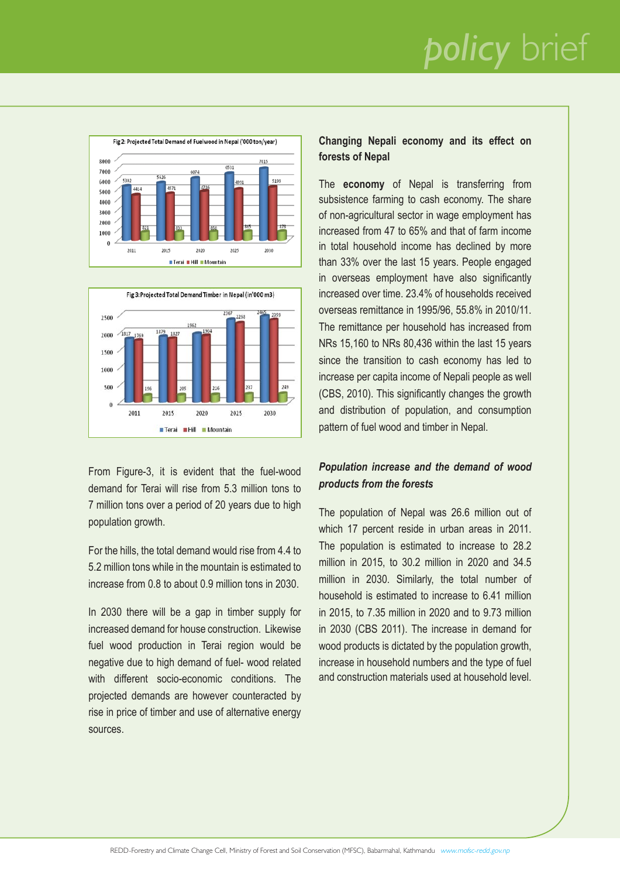## *policy* brief





From Figure-3, it is evident that the fuel-wood demand for Terai will rise from 5.3 million tons to 7 million tons over a period of 20 years due to high population growth.

For the hills, the total demand would rise from 4.4 to 5.2 million tons while in the mountain is estimated to increase from 0.8 to about 0.9 million tons in 2030.

In 2030 there will be a gap in timber supply for increased demand for house construction. Likewise fuel wood production in Terai region would be negative due to high demand of fuel- wood related with different socio-economic conditions. The projected demands are however counteracted by rise in price of timber and use of alternative energy sources.

#### **Changing Nepali economy and its effect on forests of Nepal**

The **economy** of Nepal is transferring from subsistence farming to cash economy. The share of non-agricultural sector in wage employment has increased from 47 to 65% and that of farm income in total household income has declined by more than 33% over the last 15 years. People engaged in overseas employment have also significantly increased over time. 23.4% of households received overseas remittance in 1995/96, 55.8% in 2010/11. The remittance per household has increased from NRs 15,160 to NRs 80,436 within the last 15 years since the transition to cash economy has led to increase per capita income of Nepali people as well (CBS, 2010). This significantly changes the growth and distribution of population, and consumption pattern of fuel wood and timber in Nepal.

#### *Population increase and the demand of wood products from the forests*

The population of Nepal was 26.6 million out of which 17 percent reside in urban areas in 2011. The population is estimated to increase to 28.2 million in 2015, to 30.2 million in 2020 and 34.5 million in 2030. Similarly, the total number of household is estimated to increase to 6.41 million in 2015, to 7.35 million in 2020 and to 9.73 million in 2030 (CBS 2011). The increase in demand for wood products is dictated by the population growth, increase in household numbers and the type of fuel and construction materials used at household level.